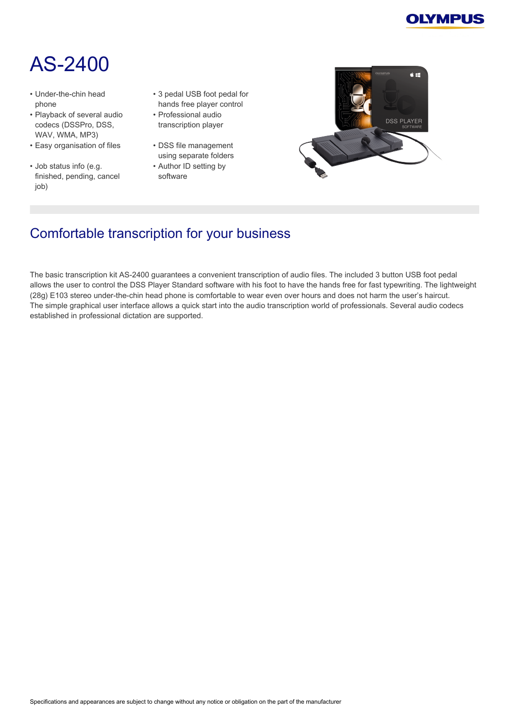

# AS‑2400

- Under-the-chin head phone
- Playback of several audio codecs (DSSPro, DSS, WAV, WMA, MP3)
- Easy organisation of files DSS file management
- Job status info (e.g. finished, pending, cancel job)
- 3 pedal USB foot pedal for hands free player control
- Professional audio transcription player
- using separate folders
- Author ID setting by software



# Comfortable transcription for your business

The basic transcription kit AS‑2400 guarantees a convenient transcription of audio files. The included 3 button USB foot pedal allows the user to control the DSS Player Standard software with his foot to have the hands free for fast typewriting. The lightweight (28g) E103 stereo under‑the‑chin head phone is comfortable to wear even over hours and does not harm the user's haircut. The simple graphical user interface allows a quick start into the audio transcription world of professionals. Several audio codecs established in professional dictation are supported.